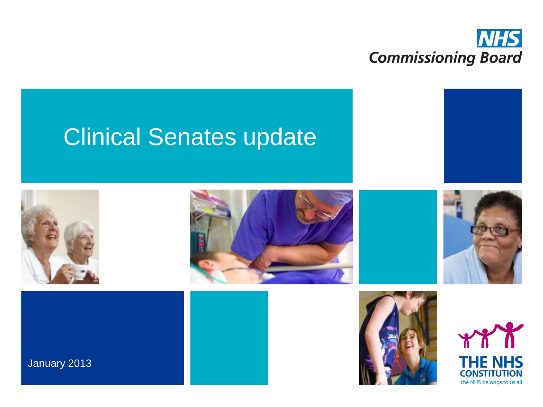

# Clinical Senates update

















January 2013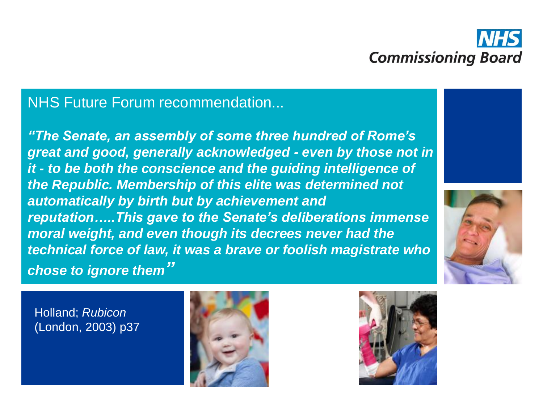

#### NHS Future Forum recommendation...

*"The Senate, an assembly of some three hundred of Rome's great and good, generally acknowledged - even by those not in it - to be both the conscience and the guiding intelligence of the Republic. Membership of this elite was determined not automatically by birth but by achievement and reputation…..This gave to the Senate's deliberations immense moral weight, and even though its decrees never had the technical force of law, it was a brave or foolish magistrate who chose to ignore them"* 





Holland; *Rubicon* (London, 2003) p37



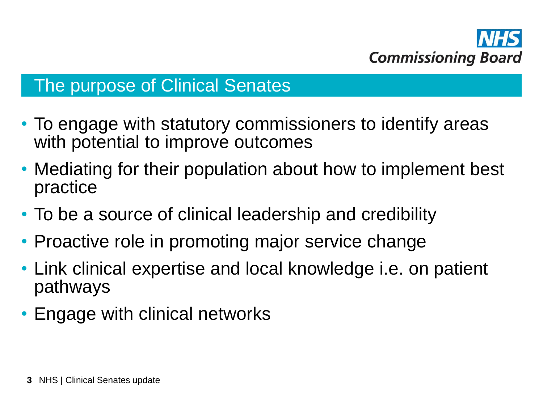

#### The purpose of Clinical Senates

- To engage with statutory commissioners to identify areas with potential to improve outcomes
- Mediating for their population about how to implement best practice
- To be a source of clinical leadership and credibility
- Proactive role in promoting major service change
- Link clinical expertise and local knowledge i.e. on patient pathways
- Engage with clinical networks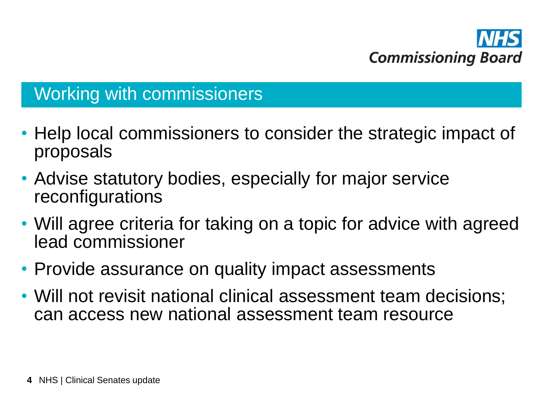

# Working with commissioners

- Help local commissioners to consider the strategic impact of proposals
- Advise statutory bodies, especially for major service reconfigurations
- Will agree criteria for taking on a topic for advice with agreed lead commissioner
- Provide assurance on quality impact assessments
- Will not revisit national clinical assessment team decisions; can access new national assessment team resource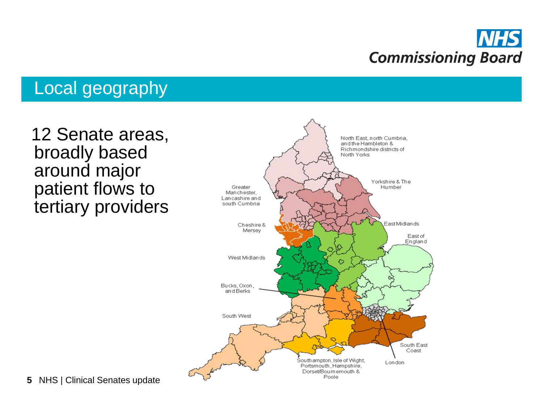

# Local geography

 12 Senate areas, broadly based around major patient flows to tertiary providers



**5** NHS | Clinical Senates update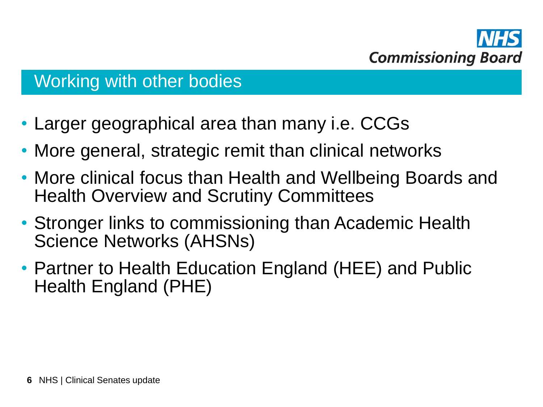

# Working with other bodies

- Larger geographical area than many i.e. CCGs
- More general, strategic remit than clinical networks
- More clinical focus than Health and Wellbeing Boards and Health Overview and Scrutiny Committees
- Stronger links to commissioning than Academic Health Science Networks (AHSNs)
- Partner to Health Education England (HEE) and Public Health England (PHE)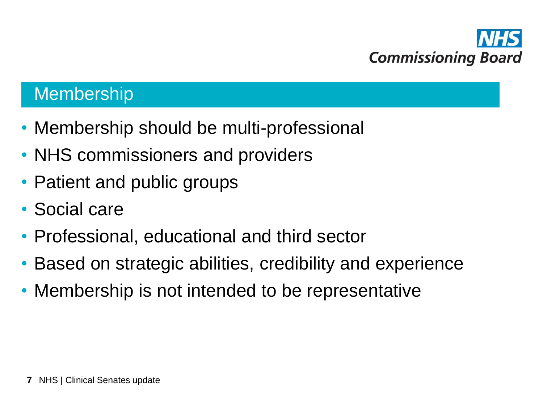

### Membership

- Membership should be multi-professional
- NHS commissioners and providers
- Patient and public groups
- Social care
- Professional, educational and third sector
- Based on strategic abilities, credibility and experience
- Membership is not intended to be representative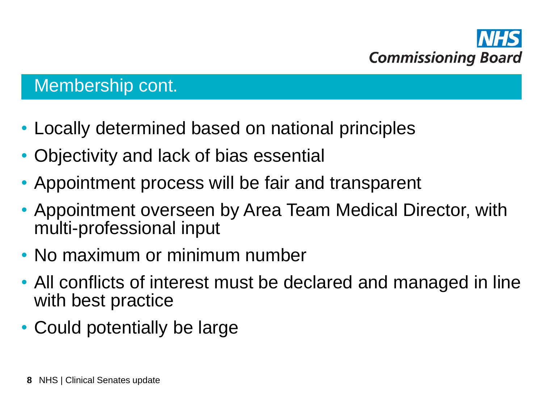

## Membership cont.

- Locally determined based on national principles
- Objectivity and lack of bias essential
- Appointment process will be fair and transparent
- Appointment overseen by Area Team Medical Director, with multi-professional input
- No maximum or minimum number
- All conflicts of interest must be declared and managed in line with best practice
- Could potentially be large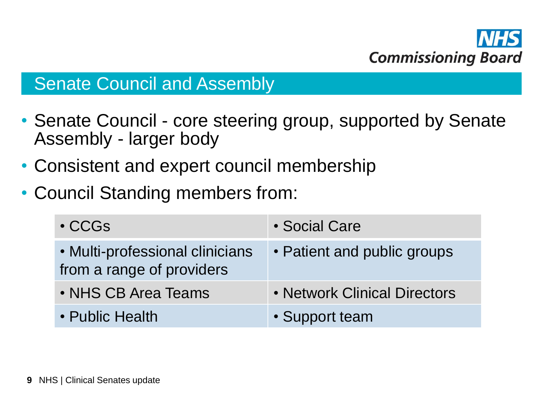

#### **Senate Council and Assembly**

- Senate Council core steering group, supported by Senate Assembly - larger body
- Consistent and expert council membership
- Council Standing members from:

| $\cdot$ CCGs                                                 | • Social Care                |
|--------------------------------------------------------------|------------------------------|
| • Multi-professional clinicians<br>from a range of providers | • Patient and public groups  |
| • NHS CB Area Teams                                          | • Network Clinical Directors |
| • Public Health                                              | • Support team               |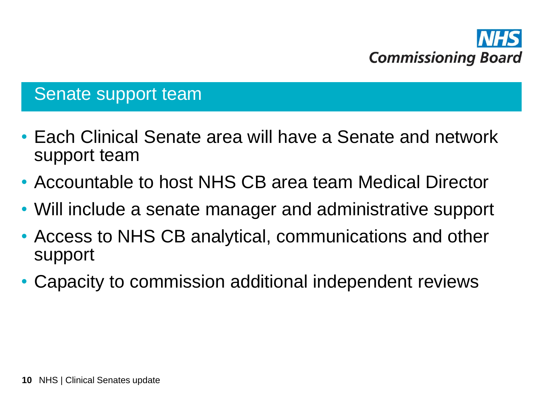

## Senate support team

- Each Clinical Senate area will have a Senate and network support team
- Accountable to host NHS CB area team Medical Director
- Will include a senate manager and administrative support
- Access to NHS CB analytical, communications and other support
- Capacity to commission additional independent reviews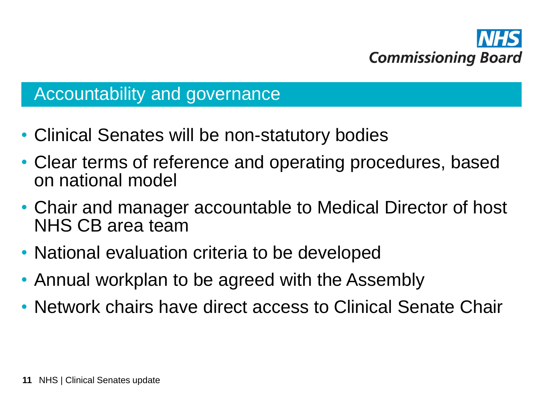

#### Accountability and governance

- Clinical Senates will be non-statutory bodies
- Clear terms of reference and operating procedures, based on national model
- Chair and manager accountable to Medical Director of host NHS CB area team
- National evaluation criteria to be developed
- Annual workplan to be agreed with the Assembly
- Network chairs have direct access to Clinical Senate Chair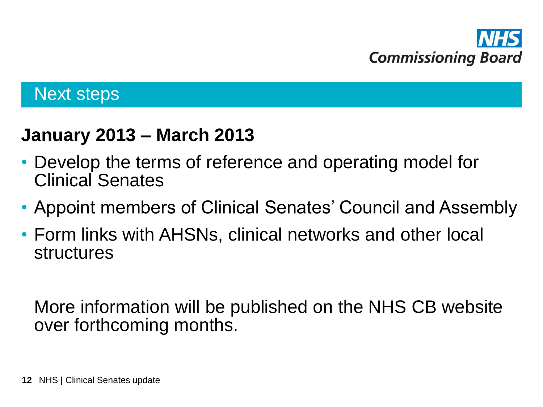

## Next steps

# **January 2013 – March 2013**

- Develop the terms of reference and operating model for Clinical Senates
- Appoint members of Clinical Senates' Council and Assembly
- Form links with AHSNs, clinical networks and other local structures

More information will be published on the NHS CB website over forthcoming months.